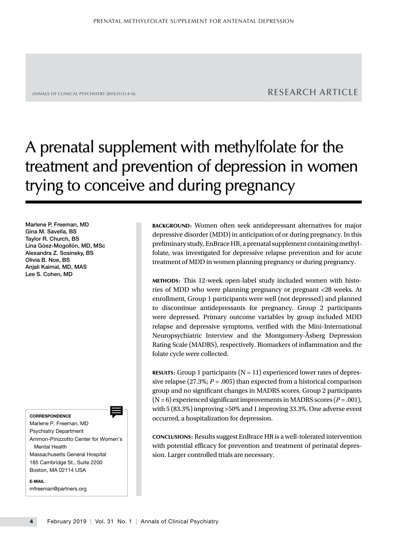# ANNALS OF CLINICAL PSYCHIATRY 2019;31(1):4-16 **RESEARCH ARTICLE**

# A prenatal supplement with methylfolate for the treatment and prevention of depression in women trying to conceive and during pregnancy

Marlene P. Freeman, MD Gina M. Savella, BS Taylor R. Church, BS Lina Góez-Mogollón, MD, MSc Alexandra Z. Sosinsky, BS Olivia B. Noe, BS Anjali Kaimal, MD, MAS Lee S. Cohen, MD

CORRESPONDENCE

Marlene P. Freeman, MD Psychiatry Department Ammon-Pinizzotto Center for Women's Mental Health Massachusetts General Hospital 185 Cambridge St., Suite 2200 Boston, MA 02114 USA

E-MAIL mfreeman@partners.org BACKGROUND: Women often seek antidepressant alternatives for major depressive disorder (MDD) in anticipation of or during pregnancy. In this preliminary study, EnBrace HR, a prenatal supplement containing methylfolate, was investigated for depressive relapse prevention and for acute treatment of MDD in women planning pregnancy or during pregnancy.

METHODS: This 12-week open-label study included women with histories of MDD who were planning pregnancy or pregnant <28 weeks. At enrollment, Group 1 participants were well (not depressed) and planned to discontinue antidepressants for pregnancy. Group 2 participants were depressed. Primary outcome variables by group included MDD relapse and depressive symptoms, verified with the Mini-International Neuropsychiatric Interview and the Montgomery-Åsberg Depression Rating Scale (MADRS), respectively. Biomarkers of inflammation and the folate cycle were collected.

**RESULTS:** Group 1 participants  $(N = 11)$  experienced lower rates of depressive relapse (27.3%;  $P = .005$ ) than expected from a historical comparison group and no significant changes in MADRS scores. Group 2 participants (N = 6) experienced significant improvements in MADRS scores (*P* = .001), with 5 (83.3%) improving >50% and 1 improving 33.3%. One adverse event occurred, a hospitalization for depression.

CONCLUSIONS: Results suggest EnBrace HR is a well-tolerated intervention with potential efficacy for prevention and treatment of perinatal depression. Larger controlled trials are necessary.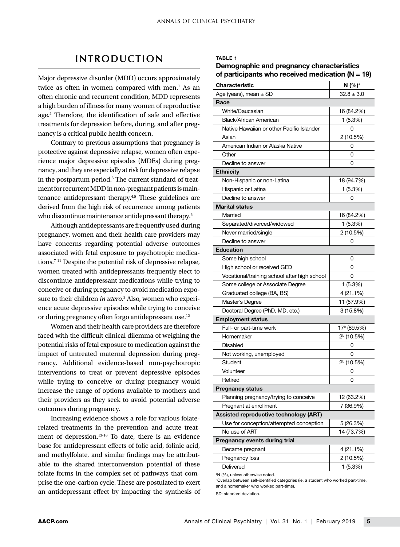# **INTRODUCTION**

Major depressive disorder (MDD) occurs approximately twice as often in women compared with men.<sup>1</sup> As an often chronic and recurrent condition, MDD represents a high burden of illness for many women of reproductive age.<sup>2</sup> Therefore, the identification of safe and effective treatments for depression before, during, and after pregnancy is a critical public health concern.

Contrary to previous assumptions that pregnancy is protective against depressive relapse, women often experience major depressive episodes (MDEs) during pregnancy, and they are especially at risk for depressive relapse in the postpartum period.<sup>3</sup> The current standard of treatment for recurrent MDD in non-pregnant patients is maintenance antidepressant therapy.4,5 These guidelines are derived from the high risk of recurrence among patients who discontinue maintenance antidepressant therapy.<sup>6</sup>

Although antidepressants are frequently used during pregnancy, women and their health care providers may have concerns regarding potential adverse outcomes associated with fetal exposure to psychotropic medications.7-11 Despite the potential risk of depressive relapse, women treated with antidepressants frequently elect to discontinue antidepressant medications while trying to conceive or during pregnancy to avoid medication exposure to their children *in utero*. <sup>3</sup> Also, women who experience acute depressive episodes while trying to conceive or during pregnancy often forgo antidepressant use.<sup>12</sup>

Women and their health care providers are therefore faced with the difficult clinical dilemma of weighing the potential risks of fetal exposure to medication against the impact of untreated maternal depression during pregnancy. Additional evidence-based non-psychotropic interventions to treat or prevent depressive episodes while trying to conceive or during pregnancy would increase the range of options available to mothers and their providers as they seek to avoid potential adverse outcomes during pregnancy.

Increasing evidence shows a role for various folaterelated treatments in the prevention and acute treatment of depression.13-16 To date, there is an evidence base for antidepressant effects of folic acid, folinic acid, and methylfolate, and similar findings may be attributable to the shared interconversion potential of these folate forms in the complex set of pathways that comprise the one-carbon cycle. These are postulated to exert an antidepressant effect by impacting the synthesis of

### TABLE 1

Demographic and pregnancy characteristics of participants who received medication  $(N = 19)$ 

| Characteristic                               | N (%) <sup>a</sup>     |  |  |  |
|----------------------------------------------|------------------------|--|--|--|
| Age (years), mean $\pm$ SD                   | $32.8 \pm 3.0$         |  |  |  |
| Race                                         |                        |  |  |  |
| White/Caucasian                              | 16 (84.2%)             |  |  |  |
| Black/African American                       | 1(5.3%)                |  |  |  |
| Native Hawaiian or other Pacific Islander    | 0                      |  |  |  |
| Asian                                        | 2 (10.5%)              |  |  |  |
| American Indian or Alaska Native             | 0                      |  |  |  |
| Other                                        | 0                      |  |  |  |
| Decline to answer                            | 0                      |  |  |  |
| <b>Ethnicity</b>                             |                        |  |  |  |
| Non-Hispanic or non-Latina                   | 18 (94.7%)             |  |  |  |
| Hispanic or Latina                           | 1 (5.3%)               |  |  |  |
| Decline to answer                            | 0                      |  |  |  |
| Marital status                               |                        |  |  |  |
| Married                                      | 16 (84.2%)             |  |  |  |
| Separated/divorced/widowed                   | 1 (5.3%)               |  |  |  |
| Never married/single                         | 2 (10.5%)              |  |  |  |
| Decline to answer                            | 0                      |  |  |  |
| <b>Education</b>                             |                        |  |  |  |
| Some high school                             | 0                      |  |  |  |
| High school or received GED                  | 0                      |  |  |  |
| Vocational/training school after high school | 0                      |  |  |  |
| Some college or Associate Degree             | 1(5.3%)                |  |  |  |
| Graduated college (BA, BS)                   | 4 (21.1%)              |  |  |  |
| Master's Degree                              | 11 (57.9%)             |  |  |  |
| Doctoral Degree (PhD, MD, etc.)              | 3(15.8%)               |  |  |  |
| <b>Employment status</b>                     |                        |  |  |  |
| Full- or part-time work                      | 17° (89.5%)            |  |  |  |
| Homemaker                                    | $2b$ (10.5%)           |  |  |  |
| Disabled                                     | 0                      |  |  |  |
| Not working, unemployed                      | 0                      |  |  |  |
| Student                                      | 2 <sup>b</sup> (10.5%) |  |  |  |
| Volunteer                                    | 0                      |  |  |  |
| Retired                                      | 0                      |  |  |  |
| <b>Pregnancy status</b>                      |                        |  |  |  |
| Planning pregnancy/trying to conceive        | 12 (63.2%)             |  |  |  |
| Pregnant at enrollment                       | 7 (36.9%)              |  |  |  |
| Assisted reproductive technology (ART)       |                        |  |  |  |
| Use for conception/attempted conception      | 5 (26.3%)              |  |  |  |
| No use of ART                                | 14 (73.7%)             |  |  |  |
| Pregnancy events during trial                |                        |  |  |  |
| Became pregnant                              | 4 (21.1%)              |  |  |  |
| Pregnancy loss                               | 2 (10.5%)              |  |  |  |
| Delivered                                    | 1(5.3%)                |  |  |  |

a N (%), unless otherwise noted.

bOverlap between self-identified categories (ie, a student who worked part-time, and a homemaker who worked part-time).

SD: standard deviation.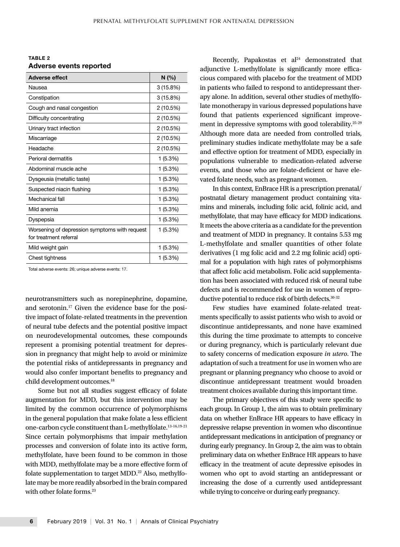TABLE 2 Adverse events reported

| <b>Adverse effect</b>                                                   | N(%       |
|-------------------------------------------------------------------------|-----------|
| Nausea                                                                  | 3(15.8%)  |
| Constipation                                                            | 3(15.8%)  |
| Cough and nasal congestion                                              | 2 (10.5%) |
| Difficulty concentrating                                                | 2 (10.5%) |
| Urinary tract infection                                                 | 2 (10.5%) |
| Miscarriage                                                             | 2 (10.5%) |
| Headache                                                                | 2 (10.5%) |
| Perioral dermatitis                                                     | 1(5.3%)   |
| Abdominal muscle ache                                                   | 1(5.3%)   |
| Dysgeusia (metallic taste)                                              | 1(5.3%)   |
| Suspected niacin flushing                                               | 1(5.3%)   |
| Mechanical fall                                                         | 1 (5.3%)  |
| Mild anemia                                                             | 1 (5.3%)  |
| Dyspepsia                                                               | 1(5.3%)   |
| Worsening of depression symptoms with request<br>for treatment referral | 1(5.3%)   |
| Mild weight gain                                                        | 1(5.3%)   |
| Chest tightness                                                         | 1(5.3%)   |

Total adverse events: 26; unique adverse events: 17.

neurotransmitters such as norepinephrine, dopamine, and serotonin.17 Given the evidence base for the positive impact of folate-related treatments in the prevention of neural tube defects and the potential positive impact on neurodevelopmental outcomes, these compounds represent a promising potential treatment for depression in pregnancy that might help to avoid or minimize the potential risks of antidepressants in pregnancy and would also confer important benefits to pregnancy and child development outcomes.<sup>18</sup>

Some but not all studies suggest efficacy of folate augmentation for MDD, but this intervention may be limited by the common occurrence of polymorphisms in the general population that make folate a less efficient one-carbon cycle constituent than L-methylfolate.13-16,19-21 Since certain polymorphisms that impair methylation processes and conversion of folate into its active form, methylfolate, have been found to be common in those with MDD, methylfolate may be a more effective form of folate supplementation to target MDD.<sup>22</sup> Also, methylfolate may be more readily absorbed in the brain compared with other folate forms.<sup>23</sup>

Recently, Papakostas et  $al<sup>24</sup>$  demonstrated that adjunctive L-methylfolate is significantly more efficacious compared with placebo for the treatment of MDD in patients who failed to respond to antidepressant therapy alone. In addition, several other studies of methylfolate monotherapy in various depressed populations have found that patients experienced significant improvement in depressive symptoms with good tolerability.<sup>25-29</sup> Although more data are needed from controlled trials, preliminary studies indicate methylfolate may be a safe and effective option for treatment of MDD, especially in populations vulnerable to medication-related adverse events, and those who are folate-deficient or have elevated folate needs, such as pregnant women.

In this context, EnBrace HR is a prescription prenatal/ postnatal dietary management product containing vitamins and minerals, including folic acid, folinic acid, and methylfolate, that may have efficacy for MDD indications. It meets the above criteria as a candidate for the prevention and treatment of MDD in pregnancy. It contains 5.53 mg L-methylfolate and smaller quantities of other folate derivatives (1 mg folic acid and 2.2 mg folinic acid) optimal for a population with high rates of polymorphisms that affect folic acid metabolism. Folic acid supplementation has been associated with reduced risk of neural tube defects and is recommended for use in women of reproductive potential to reduce risk of birth defects.30-32

Few studies have examined folate-related treatments specifically to assist patients who wish to avoid or discontinue antidepressants, and none have examined this during the time proximate to attempts to conceive or during pregnancy, which is particularly relevant due to safety concerns of medication exposure *in utero*. The adaptation of such a treatment for use in women who are pregnant or planning pregnancy who choose to avoid or discontinue antidepressant treatment would broaden treatment choices available during this important time.

The primary objectives of this study were specific to each group. In Group 1, the aim was to obtain preliminary data on whether EnBrace HR appears to have efficacy in depressive relapse prevention in women who discontinue antidepressant medications in anticipation of pregnancy or during early pregnancy. In Group 2, the aim was to obtain preliminary data on whether EnBrace HR appears to have efficacy in the treatment of acute depressive episodes in women who opt to avoid starting an antidepressant or increasing the dose of a currently used antidepressant while trying to conceive or during early pregnancy.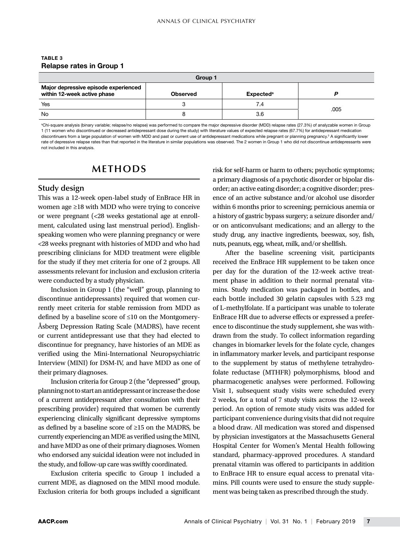### TABLE 3 Relapse rates in Group 1

| Group 1                                                             |                 |                              |      |  |
|---------------------------------------------------------------------|-----------------|------------------------------|------|--|
| Major depressive episode experienced<br>within 12-week active phase | <b>Observed</b> | <b>Expected</b> <sup>a</sup> |      |  |
| Yes                                                                 |                 | 7.4                          | .005 |  |
| No                                                                  |                 | 3.6                          |      |  |

a Chi-square analysis (binary variable; relapse/no relapse) was performed to compare the major depressive disorder (MDD) relapse rates (27.3%) of analyzable women in Group 1 (11 women who discontinued or decreased antidepressant dose during the study) with literature values of expected relapse rates (67.7%) for antidepressant medication discontinuers from a large population of women with MDD and past or current use of antidepressant medications while pregnant or planning pregnancy.<sup>3</sup> A significantly lower rate of depressive relapse rates than that reported in the literature in similar populations was observed. The 2 women in Group 1 who did not discontinue antidepressants were not included in this analysis.

# **METHODS**

# **Study design**

This was a 12-week open-label study of EnBrace HR in women age ≥18 with MDD who were trying to conceive or were pregnant (<28 weeks gestational age at enrollment, calculated using last menstrual period). Englishspeaking women who were planning pregnancy or were <28 weeks pregnant with histories of MDD and who had prescribing clinicians for MDD treatment were eligible for the study if they met criteria for one of 2 groups. All assessments relevant for inclusion and exclusion criteria were conducted by a study physician.

Inclusion in Group 1 (the "well" group, planning to discontinue antidepressants) required that women currently meet criteria for stable remission from MDD as defined by a baseline score of ≤10 on the Montgomery-Åsberg Depression Rating Scale (MADRS), have recent or current antidepressant use that they had elected to discontinue for pregnancy, have histories of an MDE as verified using the Mini-International Neuropsychiatric Interview (MINI) for DSM-IV, and have MDD as one of their primary diagnoses.

Inclusion criteria for Group 2 (the "depressed" group, planning not to start an antidepressant or increase the dose of a current antidepressant after consultation with their prescribing provider) required that women be currently experiencing clinically significant depressive symptoms as defined by a baseline score of ≥15 on the MADRS, be currently experiencing an MDE as verified using the MINI, and have MDD as one of their primary diagnoses. Women who endorsed any suicidal ideation were not included in the study, and follow-up care was swiftly coordinated.

Exclusion criteria specific to Group 1 included a current MDE, as diagnosed on the MINI mood module. Exclusion criteria for both groups included a significant risk for self-harm or harm to others; psychotic symptoms; a primary diagnosis of a psychotic disorder or bipolar disorder; an active eating disorder; a cognitive disorder; presence of an active substance and/or alcohol use disorder within 6 months prior to screening; pernicious anemia or a history of gastric bypass surgery; a seizure disorder and/ or on anticonvulsant medications; and an allergy to the study drug, any inactive ingredients, beeswax, soy, fish, nuts, peanuts, egg, wheat, milk, and/or shellfish.

After the baseline screening visit, participants received the EnBrace HR supplement to be taken once per day for the duration of the 12-week active treatment phase in addition to their normal prenatal vitamins. Study medication was packaged in bottles, and each bottle included 30 gelatin capsules with 5.23 mg of L-methylfolate. If a participant was unable to tolerate EnBrace HR due to adverse effects or expressed a preference to discontinue the study supplement, she was withdrawn from the study. To collect information regarding changes in biomarker levels for the folate cycle, changes in inflammatory marker levels, and participant response to the supplement by status of methylene tetrahydrofolate reductase (MTHFR) polymorphisms, blood and pharmacogenetic analyses were performed. Following Visit 1, subsequent study visits were scheduled every 2 weeks, for a total of 7 study visits across the 12-week period. An option of remote study visits was added for participant convenience during visits that did not require a blood draw. All medication was stored and dispensed by physician investigators at the Massachusetts General Hospital Center for Women's Mental Health following standard, pharmacy-approved procedures. A standard prenatal vitamin was offered to participants in addition to EnBrace HR to ensure equal access to prenatal vitamins. Pill counts were used to ensure the study supplement was being taken as prescribed through the study.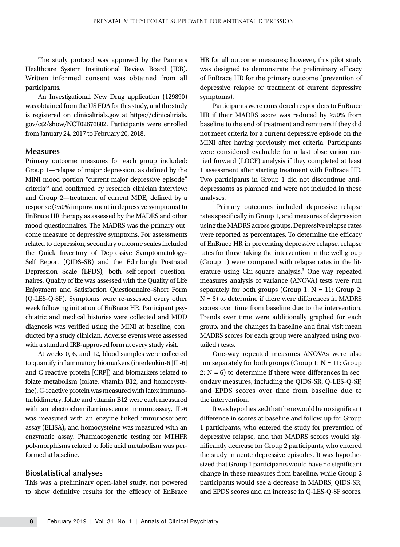The study protocol was approved by the Partners Healthcare System Institutional Review Board (IRB). Written informed consent was obtained from all participants.

An Investigational New Drug application (129890) was obtained from the US FDA for this study, and the study is registered on clinicaltrials.gov at https://clinicaltrials. gov/ct2/show/NCT02676882. Participants were enrolled from January 24, 2017 to February 20, 2018.

### **Measures**

Primary outcome measures for each group included: Group 1—relapse of major depression, as defined by the MINI mood portion "current major depressive episode" criteria33 and confirmed by research clinician interview; and Group 2—treatment of current MDE, defined by a response (≥50% improvement in depressive symptoms) to EnBrace HR therapy as assessed by the MADRS and other mood questionnaires. The MADRS was the primary outcome measure of depressive symptoms. For assessments related to depression, secondary outcome scales included the Quick Inventory of Depressive Symptomatology– Self Report (QIDS–SR) and the Edinburgh Postnatal Depression Scale (EPDS), both self-report questionnaires. Quality of life was assessed with the Quality of Life Enjoyment and Satisfaction Questionnaire–Short Form (Q-LES-Q-SF). Symptoms were re-assessed every other week following initiation of EnBrace HR. Participant psychiatric and medical histories were collected and MDD diagnosis was verified using the MINI at baseline, conducted by a study clinician. Adverse events were assessed with a standard IRB-approved form at every study visit.

At weeks 0, 6, and 12, blood samples were collected to quantify inflammatory biomarkers (interleukin-6 [IL-6] and C-reactive protein [CRP]) and biomarkers related to folate metabolism (folate, vitamin B12, and homocysteine). C-reactive protein was measured with latex immunoturbidimetry, folate and vitamin B12 were each measured with an electrochemiluminescence immunoassay, IL-6 was measured with an enzyme-linked immunosorbent assay (ELISA), and homocysteine was measured with an enzymatic assay. Pharmacogenetic testing for MTHFR polymorphisms related to folic acid metabolism was performed at baseline.

### **Biostatistical analyses**

This was a preliminary open-label study, not powered to show definitive results for the efficacy of EnBrace HR for all outcome measures; however, this pilot study was designed to demonstrate the preliminary efficacy of EnBrace HR for the primary outcome (prevention of depressive relapse or treatment of current depressive symptoms).

Participants were considered responders to EnBrace HR if their MADRS score was reduced by ≥50% from baseline to the end of treatment and remitters if they did not meet criteria for a current depressive episode on the MINI after having previously met criteria. Participants were considered evaluable for a last observation carried forward (LOCF) analysis if they completed at least 1 assessment after starting treatment with EnBrace HR. Two participants in Group 1 did not discontinue antidepressants as planned and were not included in these analyses.

 Primary outcomes included depressive relapse rates specifically in Group 1, and measures of depression using the MADRS across groups. Depressive relapse rates were reported as percentages. To determine the efficacy of EnBrace HR in preventing depressive relapse, relapse rates for those taking the intervention in the well group (Group 1) were compared with relapse rates in the literature using Chi-square analysis.<sup>3</sup> One-way repeated measures analysis of variance (ANOVA) tests were run separately for both groups (Group 1:  $N = 11$ ; Group 2:  $N = 6$ ) to determine if there were differences in MADRS scores over time from baseline due to the intervention. Trends over time were additionally graphed for each group, and the changes in baseline and final visit mean MADRS scores for each group were analyzed using twotailed *t* tests.

One-way repeated measures ANOVAs were also run separately for both groups (Group  $1: N = 11$ ; Group 2:  $N = 6$ ) to determine if there were differences in secondary measures, including the QIDS-SR, Q-LES-Q-SF, and EPDS scores over time from baseline due to the intervention.

It was hypothesized that there would be no significant difference in scores at baseline and follow-up for Group 1 participants, who entered the study for prevention of depressive relapse, and that MADRS scores would significantly decrease for Group 2 participants, who entered the study in acute depressive episodes. It was hypothesized that Group 1 participants would have no significant change in these measures from baseline, while Group 2 participants would see a decrease in MADRS, QIDS-SR, and EPDS scores and an increase in Q-LES-Q-SF scores.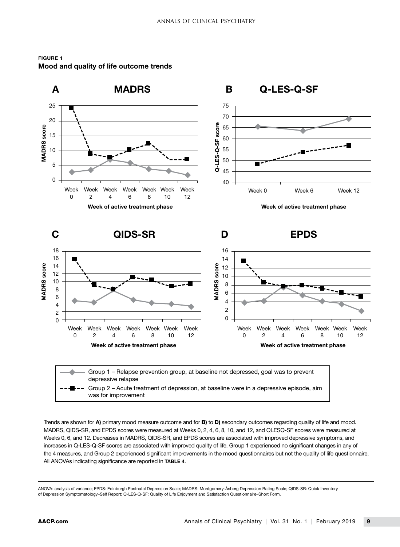

FIGURE 1 Mood and quality of life outcome trends

depressive relapse Group 2 – Acute treatment of depression, at baseline were in a depressive episode, aim was for improvement

Trends are shown for A) primary mood measure outcome and for B) to D) secondary outcomes regarding quality of life and mood. MADRS, QIDS-SR, and EPDS scores were measured at Weeks 0, 2, 4, 6, 8, 10, and 12, and QLESQ-SF scores were measured at Weeks 0, 6, and 12. Decreases in MADRS, QIDS-SR, and EPDS scores are associated with improved depressive symptoms, and increases in Q-LES-Q-SF scores are associated with improved quality of life. Group 1 experienced no significant changes in any of the 4 measures, and Group 2 experienced significant improvements in the mood questionnaires but not the quality of life questionnaire. All ANOVAs indicating significance are reported in TABLE 4.

ANOVA: analysis of variance; EPDS: Edinburgh Postnatal Depression Scale; MADRS: Montgomery-Åsberg Depression Rating Scale; QIDS-SR: Quick Inventory of Depression Symptomatology–Self Report; Q-LES-Q-SF: Quality of Life Enjoyment and Satisfaction Questionnaire–Short Form.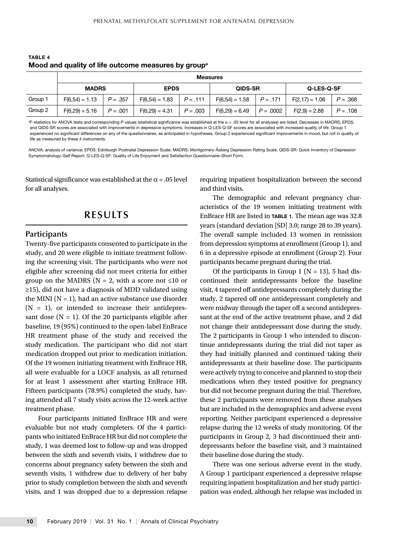|         | <b>Measures</b>  |            |                  |            |                               |             |                  |            |
|---------|------------------|------------|------------------|------------|-------------------------------|-------------|------------------|------------|
|         | <b>MADRS</b>     |            | <b>EPDS</b>      |            | <b>QIDS-SR</b>                |             | Q-LES-Q-SF       |            |
| Group 1 | $F(6.54) = 1.13$ | $P = .357$ | $F(6,54) = 1.83$ | $P = .111$ | $F(6,54) = 1.58$   $P = .171$ |             | $F(2,17) = 1.06$ | $P = .368$ |
| Group 2 | $F(6,29) = 5.16$ | $P = .001$ | $F(6,29) = 4.31$ | $P = .003$ | $F(6,29) = 6.49$              | $P = .0002$ | $F(2,9) = 2.88$  | $P = .108$ |

TARI F 4 Mood and quality of life outcome measures by group<sup>a</sup>

<sup>a</sup>F-statistics for ANOVA tests and corresponding P values (statistical significance was established at the α = .05 level for all analyses) are listed. Decreases in MADRS, EPDS, and QIDS-SR scores are associated with improvements in depressive symptoms. Increases in Q-LES-Q-SF scores are associated with increased quality of life. Group 1 experienced no significant differences on any of the questionnaires, as anticipated in hypotheses. Group 2 experienced significant improvements in mood, but not in quality of life as measured by these 4 instruments.

ANOVA: analysis of variance; EPDS: Edinburgh Postnatal Depression Scale; MADRS: Montgomery-Åsberg Depression Rating Scale; QIDS-SR: Quick Inventory of Depression Symptomatology–Self Report; Q-LES-Q-SF: Quality of Life Enjoyment and Satisfaction Questionnaire–Short Form.

Statistical significance was established at the  $\alpha$  = .05 level for all analyses.

# **RESULTS**

### **Participants**

Twenty-five participants consented to participate in the study, and 20 were eligible to initiate treatment following the screening visit. The participants who were not eligible after screening did not meet criteria for either group on the MADRS ( $N = 2$ , with a score not ≤10 or ≥15), did not have a diagnosis of MDD validated using the MINI ( $N = 1$ ), had an active substance use disorder  $(N = 1)$ , or intended to increase their antidepressant dose  $(N = 1)$ . Of the 20 participants eligible after baseline, 19 (95%) continued to the open-label EnBrace HR treatment phase of the study and received the study medication. The participant who did not start medication dropped out prior to medication initiation. Of the 19 women initiating treatment with EnBrace HR, all were evaluable for a LOCF analysis, as all returned for at least 1 assessment after starting EnBrace HR. Fifteen participants (78.9%) completed the study, having attended all 7 study visits across the 12-week active treatment phase.

Four participants initiated EnBrace HR and were evaluable but not study completers. Of the 4 participants who initiated EnBrace HR but did not complete the study, 1 was deemed lost to follow-up and was dropped between the sixth and seventh visits, 1 withdrew due to concerns about pregnancy safety between the sixth and seventh visits, 1 withdrew due to delivery of her baby prior to study completion between the sixth and seventh visits, and 1 was dropped due to a depression relapse requiring inpatient hospitalization between the second and third visits.

The demographic and relevant pregnancy characteristics of the 19 women initiating treatment with EnBrace HR are listed in TABLE 1. The mean age was 32.8 years (standard deviation [SD] 3.0; range 28 to 39 years). The overall sample included 13 women in remission from depression symptoms at enrollment (Group 1), and 6 in a depressive episode at enrollment (Group 2). Four participants became pregnant during the trial.

Of the participants in Group 1 ( $N = 13$ ), 5 had discontinued their antidepressants before the baseline visit, 4 tapered off antidepressants completely during the study, 2 tapered off one antidepressant completely and were midway through the taper off a second antidepressant at the end of the active treatment phase, and 2 did not change their antidepressant dose during the study. The 2 participants in Group 1 who intended to discontinue antidepressants during the trial did not taper as they had initially planned and continued taking their antidepressants at their baseline dose. The participants were actively trying to conceive and planned to stop their medications when they tested positive for pregnancy but did not become pregnant during the trial. Therefore, these 2 participants were removed from these analyses but are included in the demographics and adverse event reporting. Neither participant experienced a depressive relapse during the 12 weeks of study monitoring. Of the participants in Group 2, 3 had discontinued their antidepressants before the baseline visit, and 3 maintained their baseline dose during the study.

There was one serious adverse event in the study. A Group 1 participant experienced a depressive relapse requiring inpatient hospitalization and her study participation was ended, although her relapse was included in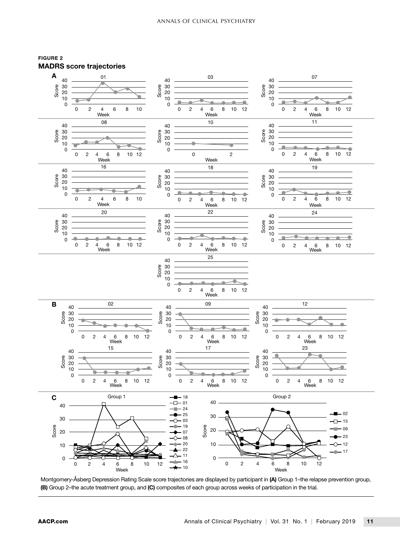



Montgomery-Åsberg Depression Rating Scale score trajectories are displayed by participant in (A) Group 1–the relapse prevention group, (B) Group 2–the acute treatment group, and (C) composites of each group across weeks of participation in the trial.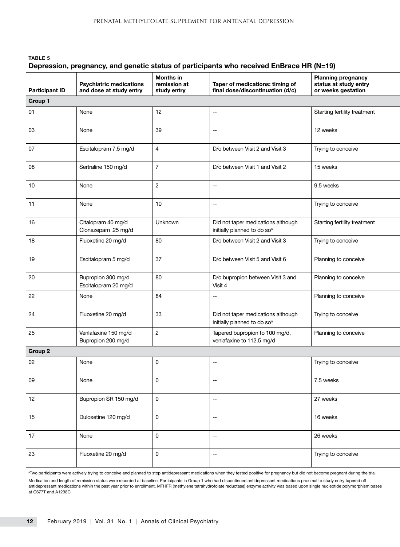# TABLE 5 Depression, pregnancy, and genetic status of participants who received EnBrace HR (N=19)

| <b>Participant ID</b> | <b>Psychiatric medications</b><br>and dose at study entry | <b>Months in</b><br>remission at<br>study entry | Taper of medications: timing of<br>final dose/discontinuation (d/c)           | <b>Planning pregnancy</b><br>status at study entry<br>or weeks gestation |  |
|-----------------------|-----------------------------------------------------------|-------------------------------------------------|-------------------------------------------------------------------------------|--------------------------------------------------------------------------|--|
| Group 1               |                                                           |                                                 |                                                                               |                                                                          |  |
| 01                    | None                                                      | 12                                              | --                                                                            | Starting fertility treatment                                             |  |
| 03                    | None                                                      | 39                                              | $\overline{\phantom{a}}$                                                      | 12 weeks                                                                 |  |
| 07                    | Escitalopram 7.5 mg/d                                     | $\overline{4}$                                  | D/c between Visit 2 and Visit 3                                               | Trying to conceive                                                       |  |
| 08                    | Sertraline 150 mg/d                                       | $\overline{7}$                                  | D/c between Visit 1 and Visit 2                                               | 15 weeks                                                                 |  |
| 10                    | None                                                      | $\overline{c}$                                  | $\overline{\phantom{a}}$                                                      | 9.5 weeks                                                                |  |
| 11                    | None                                                      | 10                                              | --                                                                            | Trying to conceive                                                       |  |
| 16                    | Citalopram 40 mg/d<br>Clonazepam .25 mg/d                 | Unknown                                         | Did not taper medications although<br>initially planned to do so <sup>a</sup> | Starting fertility treatment                                             |  |
| 18                    | Fluoxetine 20 mg/d                                        | 80                                              | D/c between Visit 2 and Visit 3                                               | Trying to conceive                                                       |  |
| 19                    | Escitalopram 5 mg/d                                       | 37                                              | D/c between Visit 5 and Visit 6                                               | Planning to conceive                                                     |  |
| 20                    | Bupropion 300 mg/d<br>Escitalopram 20 mg/d                | 80                                              | D/c bupropion between Visit 3 and<br>Visit 4                                  | Planning to conceive                                                     |  |
| 22                    | None                                                      | 84                                              | --                                                                            | Planning to conceive                                                     |  |
| 24                    | Fluoxetine 20 mg/d                                        | 33                                              | Did not taper medications although<br>initially planned to do so <sup>a</sup> | Trying to conceive                                                       |  |
| 25                    | Venlafaxine 150 mg/d<br>Bupropion 200 mg/d                | $\overline{2}$                                  | Tapered bupropion to 100 mg/d,<br>venlafaxine to 112.5 mg/d                   | Planning to conceive                                                     |  |
| Group 2               |                                                           |                                                 |                                                                               |                                                                          |  |
| 02                    | None                                                      | 0                                               | --                                                                            | Trying to conceive                                                       |  |
| 09                    | None                                                      | 0                                               | $\overline{\phantom{a}}$                                                      | 7.5 weeks                                                                |  |
| 12                    | Bupropion SR 150 mg/d                                     | 0                                               | --                                                                            | 27 weeks                                                                 |  |
| 15                    | Duloxetine 120 mg/d                                       | 0                                               | $\sim$                                                                        | 16 weeks                                                                 |  |
| 17                    | None                                                      | 0                                               | --                                                                            | 26 weeks                                                                 |  |
| 23                    | Fluoxetine 20 mg/d                                        | $\mathsf 0$                                     | --                                                                            | Trying to conceive                                                       |  |

a Two participants were actively trying to conceive and planned to stop antidepressant medications when they tested positive for pregnancy but did not become pregnant during the trial.

Medication and length of remission status were recorded at baseline. Participants in Group 1 who had discontinued antidepressant medications proximal to study entry tapered off antidepressant medications within the past year prior to enrollment. MTHFR (methylene tetrahydrofolate reductase) enzyme activity was based upon single nucleotide polymorphism bases at C677T and A1298C.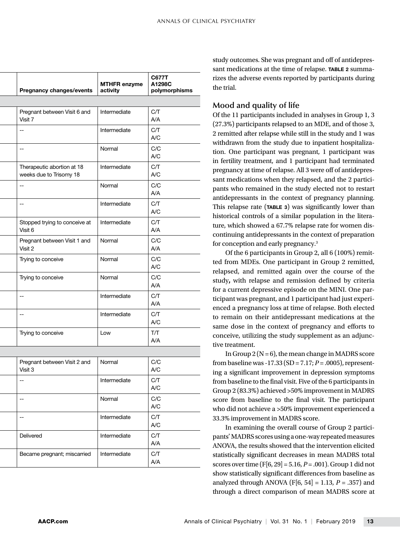| <b>MTHFR enzyme</b><br>activity | <b>Pregnancy changes/events</b>         | <b>C677T</b><br>A1298C<br>polymorphisms |
|---------------------------------|-----------------------------------------|-----------------------------------------|
|                                 |                                         |                                         |
| Intermediate                    | Pregnant between Visit 6 and            | C/T                                     |
|                                 | Visit 7                                 | A/A                                     |
| Intermediate                    | $\overline{a}$                          | C/T                                     |
|                                 |                                         | $\mathsf{A}/\mathsf{C}$                 |
| Normal                          | $\overline{a}$                          | $\rm C/C$                               |
|                                 |                                         | $\mathsf{A}/\mathsf{C}$                 |
| Intermediate                    | Therapeutic abortion at 18              | C/T                                     |
|                                 | weeks due to Trisomy 18                 | $\mathsf{A}/\mathsf{C}$                 |
| Normal                          | $\rightarrow$                           | $\rm C/C$                               |
|                                 |                                         | A/A                                     |
| Intermediate                    | $\sim$                                  | C/T                                     |
|                                 |                                         | $\mathsf{A}/\mathsf{C}$                 |
| Intermediate                    | Stopped trying to conceive at           | C/T                                     |
|                                 | Visit 6                                 | A/A                                     |
| Normal                          | Pregnant between Visit 1 and            | C/C                                     |
|                                 | Visit 2                                 | A/A                                     |
| Normal                          | Trying to conceive                      | $\rm C/C$                               |
|                                 |                                         | $\mathsf{A}/\mathsf{C}$                 |
| Normal                          | Trying to conceive                      | $\rm C/C$                               |
|                                 |                                         | A/A                                     |
| Intermediate                    | $\overline{\phantom{a}}$                | C/T                                     |
|                                 |                                         | A/A                                     |
| Intermediate                    | $\overline{\phantom{a}}$                | C/T                                     |
|                                 |                                         | $\mathsf{A}/\mathsf{C}$                 |
| Low                             | Trying to conceive                      | T/T                                     |
|                                 |                                         | A/A                                     |
|                                 |                                         |                                         |
| Normal                          |                                         | C/C                                     |
|                                 | Pregnant between Visit 2 and<br>Visit 3 | $\mathsf{A}/\mathsf{C}$                 |
|                                 |                                         |                                         |
| Intermediate                    | $\rightarrow$                           | C/T<br>A/C                              |
|                                 |                                         |                                         |
| Normal                          | $\overline{a}$                          | $\rm C/C$<br>$\mathsf{A}/\mathsf{C}$    |
|                                 |                                         |                                         |
| Intermediate                    | $\overline{\phantom{a}}$                | C/T<br>$\mathsf{A}/\mathsf{C}$          |
|                                 |                                         |                                         |
| Intermediate                    | Delivered                               | C/T                                     |
|                                 |                                         | A/A                                     |
| Intermediate                    | Became pregnant; miscarried             | C/T                                     |
|                                 |                                         | A/A                                     |

study outcomes. She was pregnant and off of antidepressant medications at the time of relapse. TABLE 2 summarizes the adverse events reported by participants during the trial.

# **Mood and quality of life**

Of the 11 participants included in analyses in Group 1, 3 (27.3%) participants relapsed to an MDE, and of those 3, 2 remitted after relapse while still in the study and 1 was withdrawn from the study due to inpatient hospitalization. One participant was pregnant, 1 participant was in fertility treatment, and 1 participant had terminated pregnancy at time of relapse. All 3 were off of antidepressant medications when they relapsed, and the 2 participants who remained in the study elected not to restart antidepressants in the context of pregnancy planning. This relapse rate (TABLE 3) was significantly lower than historical controls of a similar population in the literature, which showed a 67.7% relapse rate for women discontinuing antidepressants in the context of preparation for conception and early pregnancy.3

Of the 6 participants in Group 2, all 6 (100%) remitted from MDEs. One participant in Group 2 remitted, relapsed, and remitted again over the course of the study**,** with relapse and remission defined by criteria for a current depressive episode on the MINI. One participant was pregnant, and 1 participant had just experienced a pregnancy loss at time of relapse. Both elected to remain on their antidepressant medications at the same dose in the context of pregnancy and efforts to conceive, utilizing the study supplement as an adjunctive treatment.

In Group  $2(N=6)$ , the mean change in MADRS score from baseline was -17.33 (SD = 7.17; *P* = .0005), representing a significant improvement in depression symptoms from baseline to the final visit. Five of the 6 participants in Group 2 (83.3%) achieved >50% improvement in MADRS score from baseline to the final visit. The participant who did not achieve a >50% improvement experienced a 33.3% improvement in MADRS score.

In examining the overall course of Group 2 participants' MADRS scores using a one-way repeated measures ANOVA, the results showed that the intervention elicited statistically significant decreases in mean MADRS total scores over time (F[6, 29] = 5.16, *P* = .001). Group 1 did not show statistically significant differences from baseline as analyzed through ANOVA (F[6, 54] = 1.13,  $P = .357$ ) and through a direct comparison of mean MADRS score at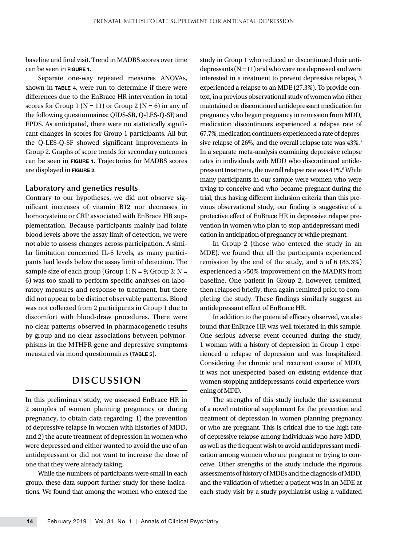baseline and final visit. Trend in MADRS scores over time can be seen in FIGURE 1.

Separate one-way repeated measures ANOVAs, shown in TABLE 4, were run to determine if there were differences due to the EnBrace HR intervention in total scores for Group 1 ( $N = 11$ ) or Group 2 ( $N = 6$ ) in any of the following questionnaires: QIDS-SR, Q-LES-Q-SF, and EPDS. As anticipated, there were no statistically significant changes in scores for Group 1 participants. All but the Q-LES-Q-SF showed significant improvements in Group 2. Graphs of score trends for secondary outcomes can be seen in FIGURE 1. Trajectories for MADRS scores are displayed in FIGURE 2.

### **Laboratory and genetics results**

Contrary to our hypotheses, we did not observe significant increases of vitamin B12 nor decreases in homocysteine or CRP associated with EnBrace HR supplementation. Because participants mainly had folate blood levels above the assay limit of detection, we were not able to assess changes across participation. A similar limitation concerned IL-6 levels, as many participants had levels below the assay limit of detection. The sample size of each group (Group 1:  $N = 9$ ; Group 2:  $N =$ 6) was too small to perform specific analyses on laboratory measures and response to treatment, but there did not appear to be distinct observable patterns. Blood was not collected from 2 participants in Group 1 due to discomfort with blood-draw procedures. There were no clear patterns observed in pharmacogenetic results by group and no clear associations between polymorphisms in the MTHFR gene and depressive symptoms measured via mood questionnaires (TABLE 5).

# **DISCUSSION**

In this preliminary study, we assessed EnBrace HR in 2 samples of women planning pregnancy or during pregnancy, to obtain data regarding: 1) the prevention of depressive relapse in women with histories of MDD, and 2) the acute treatment of depression in women who were depressed and either wanted to avoid the use of an antidepressant or did not want to increase the dose of one that they were already taking.

While the numbers of participants were small in each group, these data support further study for these indications. We found that among the women who entered the study in Group 1 who reduced or discontinued their antidepressants  $(N = 11)$  and who were not depressed and were interested in a treatment to prevent depressive relapse, 3 experienced a relapse to an MDE (27.3%). To provide context, in a previous observational study of women who either maintained or discontinued antidepressant medication for pregnancy who began pregnancy in remission from MDD, medication discontinuers experienced a relapse rate of 67.7%, medication continuers experienced a rate of depressive relapse of 26%, and the overall relapse rate was  $43\%$ <sup>3</sup> In a separate meta-analysis examining depressive relapse rates in individuals with MDD who discontinued antidepressant treatment, the overall relapse rate was 41%.<sup>6</sup> While many participants in our sample were women who were trying to conceive and who became pregnant during the trial, thus having different inclusion criteria than this previous observational study, our finding is suggestive of a protective effect of EnBrace HR in depressive relapse prevention in women who plan to stop antidepressant medication in anticipation of pregnancy or while pregnant.

In Group 2 (those who entered the study in an MDE), we found that all the participants experienced remission by the end of the study, and 5 of 6 (83.3%) experienced a >50% improvement on the MADRS from baseline. One patient in Group 2, however, remitted, then relapsed briefly, then again remitted prior to completing the study. These findings similarly suggest an antidepressant effect of EnBrace HR.

In addition to the potential efficacy observed, we also found that EnBrace HR was well tolerated in this sample. One serious adverse event occurred during the study; 1 woman with a history of depression in Group 1 experienced a relapse of depression and was hospitalized. Considering the chronic and recurrent course of MDD, it was not unexpected based on existing evidence that women stopping antidepressants could experience worsening of MDD.

The strengths of this study include the assessment of a novel nutritional supplement for the prevention and treatment of depression in women planning pregnancy or who are pregnant. This is critical due to the high rate of depressive relapse among individuals who have MDD, as well as the frequent wish to avoid antidepressant medication among women who are pregnant or trying to conceive. Other strengths of the study include the rigorous assessments of history of MDEs and the diagnosis of MDD, and the validation of whether a patient was in an MDE at each study visit by a study psychiatrist using a validated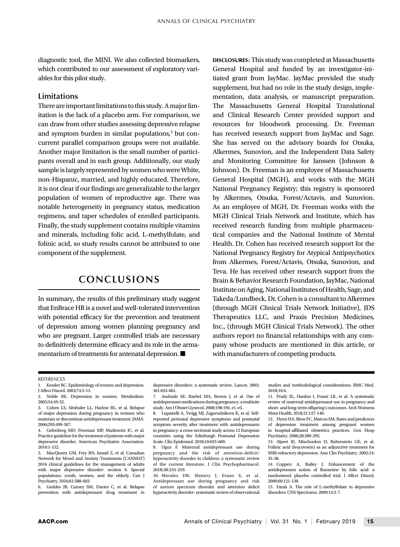diagnostic tool, the MINI. We also collected biomarkers, which contributed to our assessment of exploratory variables for this pilot study.

### **Limitations**

There are important limitations to this study. A major limitation is the lack of a placebo arm. For comparison, we can draw from other studies assessing depressive relapse and symptom burden in similar populations,<sup>3</sup> but concurrent parallel comparison groups were not available. Another major limitation is the small number of participants overall and in each group. Additionally, our study sample is largely represented by women who were White, non-Hispanic, married, and highly educated. Therefore, it is not clear if our findings are generalizable to the larger population of women of reproductive age. There was notable heterogeneity in pregnancy status, medication regimens, and taper schedules of enrolled participants. Finally, the study supplement contains multiple vitamins and minerals, including folic acid, L-methylfolate, and folinic acid, so study results cannot be attributed to one component of the supplement.

# **CONCLUSIONS**

In summary, the results of this preliminary study suggest that EnBrace HR is a novel and well-tolerated intervention with potential efficacy for the prevention and treatment of depression among women planning pregnancy and who are pregnant. Larger controlled trials are necessary to definitively determine efficacy and its role in the armamentarium of treatments for antenatal depression. ■

DISCLOSURES: This study was completed at Massachusetts General Hospital and funded by an investigator-initiated grant from JayMac. JayMac provided the study supplement, but had no role in the study design, implementation, data analysis, or manuscript preparation. The Massachusetts General Hospital Translational and Clinical Research Center provided support and resources for bloodwork processing. Dr. Freeman has received research support from JayMac and Sage. She has served on the advisory boards for Otsuka, Alkermes, Sunovion, and the Independent Data Safety and Monitoring Committee for Janssen (Johnson & Johnson). Dr. Freeman is an employee of Massachusetts General Hospital (MGH), and works with the MGH National Pregnancy Registry; this registry is sponsored by Alkermes, Otsuka, Forest/Actavis, and Sunovion. As an employee of MGH, Dr. Freeman works with the MGH Clinical Trials Network and Institute, which has received research funding from multiple pharmaceutical companies and the National Institute of Mental Health. Dr. Cohen has received research support for the National Pregnancy Registry for Atypical Antipsychotics from Alkermes, Forest/Actavis, Otsuka, Sunovion, and Teva. He has received other research support from the Brain & Behavior Research Foundation, JayMac, National Institute on Aging, National Institutes of Health, Sage, and Takeda/Lundbeck. Dr. Cohen is a consultant to Alkermes (through MGH Clinical Trials Network Initiative), JDS Therapeutics LLC, and Praxis Precision Medicines, Inc., (through MGH Clinical Trials Network). The other authors report no financial relationships with any company whose products are mentioned in this article, or with manufacturers of competing products.

#### **REFERENCES**

1. Kessler RC. Epidemiology of women and depression. J Affect Disord. 2003;74:5-13.

5. MacQueen GM, Frey BN, Ismail Z, et al. Canadian Network for Mood and Anxiety Treatments (CANMAT) 2016 clinical guidelines for the management of adults with major depressive disorder: section 6. Special populations: youth, women, and the elderly. Can J Psychiatry. 2016;61:588-603.

6. Geddes JR, Carney SM, Davies C, et al. Relapse prevention with antidepressant drug treatment in depressive disorders: a systematic review. Lancet. 2003; 361:653-661.

7. Andrade SE, Raebel MA, Brown J, et al. Use of antidepressant medications during pregnancy: a multisite study. Am J Obstet Gynecol. 2008;198:194. e1-e5.

8. Lupattelli A, Twigg MJ, Zagorodnikova K, et al. Selfreported perinatal depressive symptoms and postnatal symptom severity after treatment with antidepressants in pregnancy: a cross-sectional study across 12 European countries using the Edinburgh Postnatal Depression Scale. Clin Epidemiol. 2018;10:655-669.

9. Uguz F. Maternal antidepressant use during pregnancy and the risk of attention-deficit/ hyperactivity disorder in children: a systematic review of the current literature. J Clin Psychopharmacol. 2018;38:254-259.

10. Morales DR, Slattery J, Evans S, et al. Antidepressant use during pregnancy and risk of autism spectrum disorder and attention deficit hyperactivity disorder: systematic review of observational studies and methodological considerations. BMC Med. 2018;16:6.

11. Prady SL, Hanlon I, Fraser LK, et al. A systematic review of maternal antidepressant use in pregnancy and short- and long-term offspring's outcomes. Arch Womens Ment Health. 2018;21:127-140.

12. Flynn HA, Blow FC, Marcus SM. Rates and predictors of depression treatment among pregnant women in hospital-affiliated obstetrics practices. Gen Hosp Psychiatry. 2006;28:289-295.

13. Alpert JE, Mischoulon D, Rubenstein GE, et al. Folinic acid (leucovorin) as an adjunctive treatment for SSRI-refractory depression. Ann Clin Psychiatry. 2002;14: 33-38.

14. Coppen A, Bailey J. Enhancement of the antidepressant action of fluoxetine by folic acid: a randomised, placebo controlled trial. J Affect Disord. 2000;60:121-130.

15. Farah A. The role of L-methylfolate in depressive disorders. CNS Spectrums. 2009;14:2-7.

<sup>2.</sup> Noble RE. Depression in women. Metabolism. 2005;54:49-52.

<sup>3.</sup> Cohen LS, Altshuler LL, Harlow BL, et al. Relapse of major depression during pregnancy in women who maintain or discontinue antidepressant treatment. JAMA. 2006;295:499-507.

<sup>4.</sup> Gelenberg MD, Freeman MP, Markowitz JC, et al. Practice guideline for the treatment of patients with major depressive disorder. American Psychiatric Association. 2010:1-152.